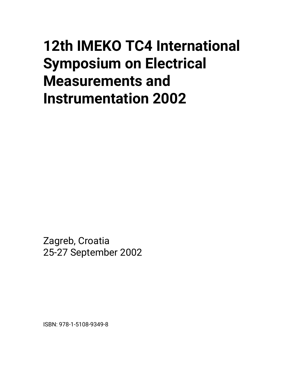## **12th IMEKO TC4 International Symposium on Electrical Measurements and Instrumentation 2002**

Zagreb, Croatia 25-27 September 2002

ISBN: 978-1-5108-9349-8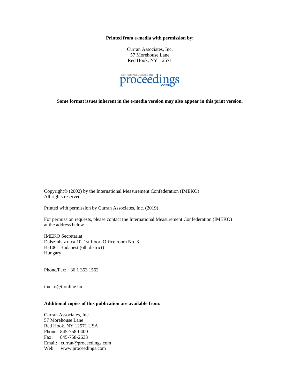**Printed from e-media with permission by:** 

Curran Associates, Inc. 57 Morehouse Lane Red Hook, NY 12571



**Some format issues inherent in the e-media version may also appear in this print version.** 

Copyright© (2002) by the International Measurement Confederation (IMEKO) All rights reserved.

Printed with permission by Curran Associates, Inc. (2019)

For permission requests, please contact the International Measurement Confederation (IMEKO) at the address below.

IMEKO Secretariat Dalszinhaz utca 10, 1st floor, Office room No. 3 H-1061 Budapest (6th district) Hungary

Phone/Fax: +36 1 353 1562

imeko@t-online.hu

## **Additional copies of this publication are available from:**

Curran Associates, Inc. 57 Morehouse Lane Red Hook, NY 12571 USA Phone: 845-758-0400 Fax: 845-758-2633 Email: curran@proceedings.com Web: www.proceedings.com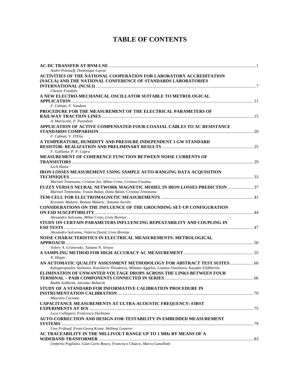## **TABLE OF CONTENTS**

| André Poletaeff, Dominique Leprat                                                                                    |  |
|----------------------------------------------------------------------------------------------------------------------|--|
| ACTIVITIES OF THE NATIONAL COOPERATION FOR LABORATORY ACCREDITATION                                                  |  |
| (NACLA) AND THE NATIONAL CONFERENCE OF STANDARDS LABORATORIES                                                        |  |
|                                                                                                                      |  |
| <b>Chester Franklin</b>                                                                                              |  |
| A NEW ELECTRO-MECHANICAL OSCILLATOR SUITABLE TO METROLOGICAL                                                         |  |
|                                                                                                                      |  |
| F. Cabiati, F. Vandoni                                                                                               |  |
| PROCEDURE FOR THE MEASUREMENT OF THE ELECTRICAL PARAMETERS OF                                                        |  |
|                                                                                                                      |  |
| A. Mariscotti, P. Pozzobon                                                                                           |  |
| APPLICATION OF ACTIVE COMPENSATED FOUR-COAXIAL CABLES TO AC RESISTANCE                                               |  |
|                                                                                                                      |  |
| F. Cabiati, V. D'Elia                                                                                                |  |
| A TEMPERATURE, HUMIDITY AND PRESSURE INDEPENDENT 1 GW STANDARD                                                       |  |
|                                                                                                                      |  |
| F. Galliana: P. P. Capra                                                                                             |  |
| MEASUREMENT OF COHERENCE FUNCTION BETWEEN NOISE CURRENTS OF                                                          |  |
|                                                                                                                      |  |
| Lech Hasse                                                                                                           |  |
| IRON LOSSES MEASUREMENT USING SAMPLE AUTO-RANGING DATA ACQUISITION                                                   |  |
|                                                                                                                      |  |
| Marinel Temneanu, Cristian Zet, Mihai Cretu, Cristian Fosalau                                                        |  |
| FUZZY VERSUS NEURAL NETWORK MAGNETIC MODEL IN IRON LOSSES PREDICTION                                                 |  |
| Marinel Temneanu, Traian Balan, Dana Balan, Cristina Temneanu                                                        |  |
|                                                                                                                      |  |
| Kresimir Malaric, Roman Malaric, Antonio Sarolic                                                                     |  |
| CONSIDERATIONS ON THE INFLUENCE OF THE GROUNDING SET-UP CONFIGURATION                                                |  |
|                                                                                                                      |  |
| Alexandru Salceanu, Mihai Cretu, Liviu Breniuc                                                                       |  |
| STUDY ON CERTAIN PARAMETERS INFLUENCING REPEATABILITY AND COUPLING IN                                                |  |
|                                                                                                                      |  |
| Alexandru Salceanu, Valeriu David, Liviu Breniuc                                                                     |  |
| NOISE CHARACTERISTICS IN ELECTRICAL MEASUREMENTS: METROLOGICAL                                                       |  |
|                                                                                                                      |  |
| Valery A. Granovsky, Tatiana N. Siraya                                                                               |  |
|                                                                                                                      |  |
| N. Hlupic                                                                                                            |  |
| AN AUTOMATIC QUALITY ASSESSMENT METHODOLOGY FOR ABSTRACT TEST SUITES  60                                             |  |
| Kalogeropoulos Stylianos, Kotsilieris Theodoros, Mihalas Aggelos, Loumos Vassileios, Kayafas Eleftherios             |  |
| ELIMINATION OF UNWANTED VOLTAGE DROPS ACROSS THE LINKS BETWEEN FOUR                                                  |  |
|                                                                                                                      |  |
| Radek Sedlácek, Jaroslav Bohácek                                                                                     |  |
| STUDY OF A STANDARD FOR INFORMATIVE CALIBRATION PROCEDURE IN                                                         |  |
|                                                                                                                      |  |
| Maurizio Caciotta                                                                                                    |  |
| <b>CAPACITANCE MEASUREMENTS AT ULTRA-ACOUSTIC FREQUENCY: FIRST</b>                                                   |  |
|                                                                                                                      |  |
| Luca Callegaro, Francesca Durbiano                                                                                   |  |
| AUTO-CORRECTION AND DESIGN-FOR-TESTABILITY IN EMBEDDED MEASUREMENT                                                   |  |
|                                                                                                                      |  |
| Uwe Frühauf, Ernst-Georg Kranz, Hellmut Leuterer<br>AC TRACEABILITY IN THE MILLIVOLT RANGE UP TO 1 MHz BY MEANS OF A |  |
|                                                                                                                      |  |
| Umberto Pogliano, Gian Carlo Bosco, Francisco Chueco, Marco Lanzillotti                                              |  |
|                                                                                                                      |  |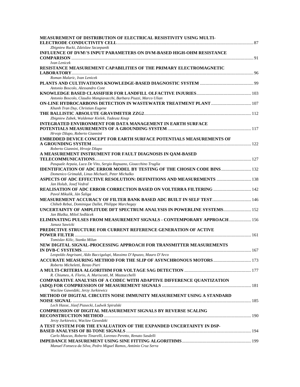| MEASUREMENT OF DISTRIBUTION OF ELECTRICAL RESISTIVITY USING MULTI-              |  |
|---------------------------------------------------------------------------------|--|
|                                                                                 |  |
| Zbigniew Rucki, Zdzislaw Szczepanik                                             |  |
| INFLUENCE OF DVM\'S INPUT PARAMETERS ON DVM-BASED HIGH-OHM RESISTANCE           |  |
|                                                                                 |  |
| Ivan Lenicek                                                                    |  |
| RESISTANCE MEASUREMENT CAPABILITIES OF THE PRIMARY ELECTROMAGNETIC              |  |
|                                                                                 |  |
| Roman Malaric, Ivan Lenicek                                                     |  |
|                                                                                 |  |
| Antonio Boscolo, Alessandro Cont                                                |  |
|                                                                                 |  |
| Antonio Boscolo, Claudio Mangiavacchi, Barbara Piuzzi, Marco Ulian              |  |
|                                                                                 |  |
| Khanh Tran Duy, Christian Eugene                                                |  |
| Zbigniew Zabek, Waldemar Kielek, Tadeusz Knap                                   |  |
|                                                                                 |  |
| <b>INTEGRATED ENVIRONMENT FOR DATA MANAGEMENT IN EARTH SURFACE</b>              |  |
| Hrvoje Džapo, Roberto Giannini                                                  |  |
| <b>EMBEDDED DEVICE CONCEPT FOR EARTH SURFACE POTENTIALS MEASUREMENTS OF</b>     |  |
|                                                                                 |  |
| Roberto Giannini, Hrvoje Džapo                                                  |  |
| A MEASUREMENT INSTRUMENT FOR FAULT DIAGNOSIS IN QAM-BASED                       |  |
|                                                                                 |  |
| Pasquale Arpaia, Luca De Vito, Sergio Rapuano, Gioacchino Truglia               |  |
| <b>IDENTIFICATION OF ADC ERROR MODEL BY TESTING OF THE CHOSEN CODE BINS 132</b> |  |
| Domenico Grimaldi, Linus Michaeli, Peter Michalko                               |  |
| ASPECTS OF ADC EFFECTIVE RESOLUTION: DEFINITIONS AND MEASUREMENTS  138          |  |
| Jan Holub, Josef Vedral                                                         |  |
| REALISATION OF ADC ERROR CORRECTION BASED ON VOLTERRA FILTERING  142            |  |
| Pavol Mikulik, Ján Šaliga                                                       |  |
|                                                                                 |  |
| Chiheb Rebai, Dominique Dallet, Philippe Marchegay                              |  |
| UNCERTAINTY OF AMPLITUDE DFT SPECTRUM ANALYSIS IN POWERLINE SYSTEMS 152         |  |
| Jan Blaška, Miloš Sedlácek                                                      |  |
| ELIMINATING PULSES FROM MEASUREMENT SIGNALS - CONTEMPORARY APPROACH 156         |  |
| Janusz Sawicki                                                                  |  |
| PREDICTIVE STRUCTURE FOR CURRENT REFERENCE GENERATION OF ACTIVE                 |  |
|                                                                                 |  |
| Tomislav Kilic, Stanko Milun                                                    |  |
| NEW DIGITAL SIGNAL-PROCESSING APPROACH FOR TRANSMITTER MEASUREMENTS             |  |
|                                                                                 |  |
| Leopoldo Angrisani, Aldo Baccigalupi, Massimo D'Apuzzo, Mauro D'Arco            |  |
|                                                                                 |  |
| Roberto Micheletti, Renzo Pieri                                                 |  |
|                                                                                 |  |
| R. Chiumeo, A. Florio, A. Mariscotti, M. Mazzucchelli                           |  |
| COMPARATIVE ANALYSIS OF A CODEC WITH ADAPTIVE DIFFERENCE QUANTIZATION           |  |
|                                                                                 |  |
| Waclaw Gawedzki, Jerzy Jurkiewicz                                               |  |
| METHOD OF DIGITAL CIRCUITS NOISE IMMUNITY MEASUREMENT USING A STANDARD          |  |
|                                                                                 |  |
| Lech Hasse, Józef Piasecki, Ludwik Spiralski                                    |  |
| <b>COMPRESSION OF DIGITAL MEASUREMENT SIGNALS BY REVERSE SCALING</b>            |  |
|                                                                                 |  |
| Jerzy Jurkiewicz, Wacław Gawedzki                                               |  |
| A TEST SYSTEM FOR THE EVALUATION OF THE EXPANDED UNCERTAINTY IN DSP-            |  |
|                                                                                 |  |
| Carlo Muscas, Roberto Tinarelli, Lorenzo Peretto, Renato Sasdelli               |  |
|                                                                                 |  |
| Manuel Fonseca da Silva, Pedro Miguel Ramos, António Cruz Serra                 |  |
|                                                                                 |  |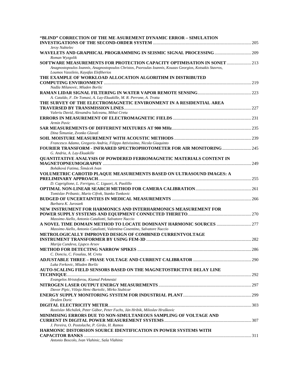| "BLIND" CORRECTION OF THE ME ASUREMENT DYNAMIC ERROR - SIMULATION                                                                                                               |  |
|---------------------------------------------------------------------------------------------------------------------------------------------------------------------------------|--|
|                                                                                                                                                                                 |  |
| Jerzy Nabielec                                                                                                                                                                  |  |
| WAVELETS AND GRAPHICAL PROGRAMMING IN SEISMIC SIGNAL PROCESSING  209<br>Roman Wyzgolik                                                                                          |  |
| SOFTWARE MEASUREMENTS FOR PROTECTION CAPACITY OPTIMISATION IN SONET<br>Anagnostopoulos Ioannis, Anagnostopoulos Christos, Psoroulas Ioannis, Kouzas Georgios, Kotsakis Stavros, |  |
| Loumos Vassileio, Kayafas Eleftherios<br>THE EXAMPLE OF WORKLOAD ALLOCATION ALGORITHM IN DISTRIBUTED                                                                            |  |
| Nadža Milanovic, Mladen Boršic                                                                                                                                                  |  |
|                                                                                                                                                                                 |  |
| A. Cataldo, F. De Tomasi, A. Lay-Ekuakille, M. R. Perrone, A. Trotta                                                                                                            |  |
| THE SURVEY OF THE ELECTROMAGNETIC ENVIRONMENT IN A RESIDENTIAL AREA                                                                                                             |  |
|                                                                                                                                                                                 |  |
| Valeriu David, Alexandru Salceanu, Mihai Cretu                                                                                                                                  |  |
| Armin Pavic                                                                                                                                                                     |  |
| Dina Šimuniæ, Zvonko Glavaš                                                                                                                                                     |  |
|                                                                                                                                                                                 |  |
| Francesco Adamo, Gregorio Andria, Filippo Attivissimo, Nicola Giaquinto                                                                                                         |  |
| FOURIER TRANSFORM - INFRARED SPECTROPHOTOMETER FOR AIR MONITORING  245<br>G. Andria, A. Lay-Ekuakille                                                                           |  |
| QUANTITATIVE ANALYSIS OF POWDERED FERROMAGNETIC MATERIALS CONTENT IN                                                                                                            |  |
|                                                                                                                                                                                 |  |
| Boháková Fatima, Šimácek Ivan                                                                                                                                                   |  |
| VOLUMETRIC CAROTID PLAQUE MEASUREMENTS BASED ON ULTRASOUND IMAGES: A                                                                                                            |  |
| D. Capriglione, L. Ferrigno, C. Liguori, A. Paolillo                                                                                                                            |  |
|                                                                                                                                                                                 |  |
| Tomislav Pribanic, Mario Cifrek, Stanko Tonkovic                                                                                                                                |  |
|                                                                                                                                                                                 |  |
| Barbara K. Juroszek                                                                                                                                                             |  |
| NEW INSTRUMENT FOR HARMONICS AND INTERHARMONICS MEASUREMENT FOR                                                                                                                 |  |
| Massimo Aiello, Antonio Cataliotti, Salvatore Nuccio                                                                                                                            |  |
|                                                                                                                                                                                 |  |
| Massimo Aiello, Antonio Cataliotti, Valentina Cosentino, Salvatore Nuccio                                                                                                       |  |
| METROLOGICALLY IMPROVED DESIGN OF COMBINED CURRENTVOLTAGE                                                                                                                       |  |
|                                                                                                                                                                                 |  |
| Marija Cundeva, Ljupco Arsov                                                                                                                                                    |  |
| C. Donciu, C. Fosalau, M. Cretu                                                                                                                                                 |  |
|                                                                                                                                                                                 |  |
| Luka Ferkovic, Mladen Boršic                                                                                                                                                    |  |
| AUTO-SCALING FIELD SENSORS BASED ON THE MAGNETOSTRICTIVE DELAY LINE                                                                                                             |  |
|                                                                                                                                                                                 |  |
| Evangelos Hristoforou, Kiamal Pekmestzi                                                                                                                                         |  |
| Davor Pipic, Višnja Henc-Bartolic, Mirko Stubicar                                                                                                                               |  |
|                                                                                                                                                                                 |  |
| Dražen Doric                                                                                                                                                                    |  |
|                                                                                                                                                                                 |  |
| Rastislav Michálek, Peter Gábor, Peter Fuchs, Ján Hribik, Miloslav Hruškovic                                                                                                    |  |
| MINIMISING ERRORS DUE TO NON-SIMULTANEOUS SAMPLING OF VOLTAGE AND                                                                                                               |  |
| J. Pereira, O. Postolache, P. Girão, H. Ramos                                                                                                                                   |  |
| HARMONIC DISTORSION SOURCE IDENTIFICATION IN POWER SYSTEMS WITH                                                                                                                 |  |
|                                                                                                                                                                                 |  |
| Antonio Boscolo, Ivan Vlahinic, Saša Vlahinic                                                                                                                                   |  |
|                                                                                                                                                                                 |  |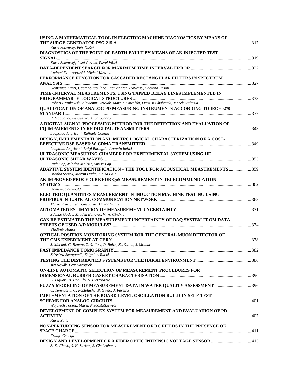| USING A MATHEMATICAL TOOL IN ELECTRIC MACHINE DIAGNOSTICS BY MEANS OF                    |  |
|------------------------------------------------------------------------------------------|--|
|                                                                                          |  |
| Karel Sokanský, Petr Dušek                                                               |  |
| DIAGNOSTICS OF THE POINT OF EARTH FAULT BY MEANS OF AN INJECTED TEST                     |  |
| Karel Sokanský, Josef Gavlas, Pavel Válek                                                |  |
|                                                                                          |  |
| Andrzej Dobrogowski, Michal Kasznia                                                      |  |
| PERFORMANCE FUNCTION FOR CASCADED RECTANGULAR FILTERS IN SPECTRUM                        |  |
|                                                                                          |  |
| Domenico Mirri, Gaetano Iuculano, Pier Andrea Traverso, Gaetano Pasini                   |  |
| TIME-INTERVAL MEASUREMENTS, USING TAPPED DELAY LINES IMPLEMENTED IN                      |  |
|                                                                                          |  |
| Robert Frankowski, Slawomir Grzelak, Marcin Kowalski, Dariusz Chaberski, Marek Zielinski |  |
| <b>OUALIFICATION OF ANALOG PD MEASURING INSTRUMENTS ACCORDING TO IEC 60270</b>           |  |
|                                                                                          |  |
| R. Gobbo, G. Pesavento, A. Scroccaro                                                     |  |
| A DIGITAL SIGNAL PROCESSING METHOD FOR THE DETECTION AND EVALUATION OF                   |  |
|                                                                                          |  |
| Leopoldo Angrisani, Raffaele Colella                                                     |  |
| DESIGN, IMPLEMENTATION AND METROLOGICAL CHARACTERIZATION OF A COST-                      |  |
|                                                                                          |  |
| Leopoldo Angrisani, Luigi Battaglia, Antonio Iudici                                      |  |
| ULTRASONIC MEASURING CHAMBER FOR EXPERIMENTAL SYSTEM USING HF                            |  |
| Rudi Cop, Mladen Maletic, Siniša Fajt                                                    |  |
| ADAPTIVE SYSTEM IDENTIFICATION - THE TOOL FOR ACOUSTICAL MEASUREMENTS  359               |  |
| Branko Somek, Martin Dadic, Siniša Fajt                                                  |  |
| AN IMPROVED PROCEDURE FOR Q0S MEASUREMENT IN TELECOMMUNICATION                           |  |
|                                                                                          |  |
| Domenico Grimaldi                                                                        |  |
| ELECTRIC QUANTITIES MEASUREMENT IN INDUCTION MACHINE TESTING USING                       |  |
|                                                                                          |  |
| Mario Vražic, Ivan Gašparac, Davor Gadže                                                 |  |
|                                                                                          |  |
| Zdenko Godec, Mladen Banovic, Vilko Cindric                                              |  |
| CAN BE ESTIMATED THE MEASUREMENT UNCERTAINTY OF DAO SYSTEM FROM DATA                     |  |
|                                                                                          |  |
| Vladimir Haasz                                                                           |  |
| OPTICAL POSITION MONITORING SYSTEM FOR THE CENTRAL MUON DETECTOR OF                      |  |
| J. Mochol, G. Bencze, Z. Szillasi, P. Raics, Zs. Szabo, J. Molnar                        |  |
|                                                                                          |  |
| Zdzislaw Szczepanik, Zbigniew Rucki                                                      |  |
|                                                                                          |  |
| Jirí Novák, Petr Kocourek                                                                |  |
| ON-LINE AUTOMATIC SELECTION OF MEASUREMENT PROCEDURES FOR                                |  |
|                                                                                          |  |
| C. Liguori, A. Paolillo, A. Pietrosanto                                                  |  |
|                                                                                          |  |
| C. Temneanu, O. Postolache, P. Girão, J. Pereira                                         |  |
| IMPLEMENTATION OF THE BOARD-LEVEL OSCILLATION BUILD-IN SELF-TEST                         |  |
|                                                                                          |  |
| Wojciech Toczek, Marek Niedostatkiewicz                                                  |  |
| DEVELOPMENT OF COMPLEX SYSTEM FOR MEASUREMENT AND EVALUATION OF PD                       |  |
|                                                                                          |  |
| Karel Zalis                                                                              |  |
| NON-PERTURBING SENSOR FOR MEASUREMENT OF DC FIELDS IN THE PRESENCE OF                    |  |
| Franjo Cecelja                                                                           |  |
| DESIGN AND DEVELOPMENT OF A FIBER OPTIC INTRINSIC VOLTAGE SENSOR  415                    |  |
| S. K. Ghosh, S. K. Sarkar, S. Chakraborty                                                |  |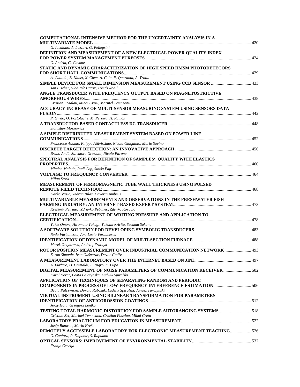| <b>COMPUTATIONAL INTENSIVE METHOD FOR THE UNCERTAINTY ANALYSIS IN A</b>                                                   |  |
|---------------------------------------------------------------------------------------------------------------------------|--|
| G. Iuculano, A. Lazzari, G. Pellegrini                                                                                    |  |
| DEFINITION AND MEASUREMENT OF A NEW ELECTRICAL POWER QUALITY INDEX                                                        |  |
| G. Andria, G. Cavone                                                                                                      |  |
| STATIC AND DYNAMIC CHARACTERIZATION OF HIGH SPEED HMSM PHOTODETECORS                                                      |  |
| A. Cataldo, B. Nabet, X. Chen, A. Cola, F. Quaranta, A. Trotta                                                            |  |
| Jan Fischer, Vladimír Haasz, Tomáš Radil                                                                                  |  |
| ANGLE TRANSDUCER WITH FREQUENCY OUTPUT BASED ON MAGNETOSTRICTIVE                                                          |  |
|                                                                                                                           |  |
| Cristian Fosalau, Mihai Cretu, Marinel Temneanu                                                                           |  |
| ACCURACY INCREASE OF MULTI-SENSOR MEASURING SYSTEM USING SENSORS DATA                                                     |  |
| P. Girão, O. Postolache, M. Pereira, H. Ramos                                                                             |  |
|                                                                                                                           |  |
| Stanislaw Moskowicz                                                                                                       |  |
| A SIMPLE DISTRIBUTED MEASUREMENT SYSTEM BASED ON POWER LINE                                                               |  |
| Francesco Adamo, Filippo Attivissimo, Nicola Giaquinto, Mario Savino                                                      |  |
|                                                                                                                           |  |
| Bruno Andò, Salvatore Graziani, Nicola Pitrone                                                                            |  |
| SPECTRAL ANALYSIS FOR DEFINITION OF SAMPLES\' QUALITY WITH ELASTICS                                                       |  |
| Mladen Maletic, Rudi Cop, Siniša Fajt                                                                                     |  |
|                                                                                                                           |  |
| Milan Stork                                                                                                               |  |
| MEASUREMENT OF FERROMAGNETIC TUBE WALL THICKNESS USING PULSED                                                             |  |
| Darko Vasic, Vedran Bilas, Davorin Ambruš                                                                                 |  |
| MULTIVARIABLE MEASUREMENTS AND OBSERVATIONS IN THE FRESHWATER FISH-                                                       |  |
|                                                                                                                           |  |
| Krešimir Petrinec, Zdravko Petrinec, Zdenko Kovacic                                                                       |  |
| ELECTRICAL MEASUREMENT OF WRITING PRESSURE AND APPLICATION TO                                                             |  |
| Yukie Omori, Hiromoto Takagi, Takahiro Arita, Susumu Sakano                                                               |  |
|                                                                                                                           |  |
| Radu Varbanescu, Ana Lucia Varbanescu                                                                                     |  |
|                                                                                                                           |  |
| Marek Orzylowski, Andrzej Fraczyk<br>ROTOR POSITION MEASUREMENT OVER INDUSTRIAL COMMUNICATION NETWORK 493                 |  |
| Zoran Šimunic, Ivan Gašparac, Davor Gadže                                                                                 |  |
|                                                                                                                           |  |
| A. Furfaro, D. Grimaldi, L. Nigro, F. Pupo                                                                                |  |
| DIGITAL MEASUREMENT OF NOISE PARAMETERS OF COMMUNICATION RECEIVER  502<br>Karol Korcz, Beata Palczynska, Ludwik Spiralski |  |
| <b>APPLICATION OF TECHNIQUES OF SEPARATING RANDOM AND PERIODIC</b>                                                        |  |
|                                                                                                                           |  |
| Beata Palczynska, Dorota Rabczuk, Ludwik Spiralski, Janusz Turczynski                                                     |  |
| VIRTUAL INSTRUMENT USING BILINEAR TRANSFORMATION FOR PARAMETERS                                                           |  |
| Jerzy Hoja, Grzegorz Lentka                                                                                               |  |
| TESTING TOTAL HARMONIC DISTORTION FOR SAMPLE AUTORANGING SYSTEMS 518                                                      |  |
| Cristian Zet, Marinel Temneanu, Cristian Fosalau, Mihai Cretu                                                             |  |
|                                                                                                                           |  |
| Josip Butorac, Mario Krešic<br>REMOTELY ACCESSIBLE LABORATORY FOR ELECTRONIC MEASUREMENT TEACHING526                      |  |
| G. Canfora, P. Daponte, S. Rapuano                                                                                        |  |
|                                                                                                                           |  |
| Franjo Cecelja                                                                                                            |  |